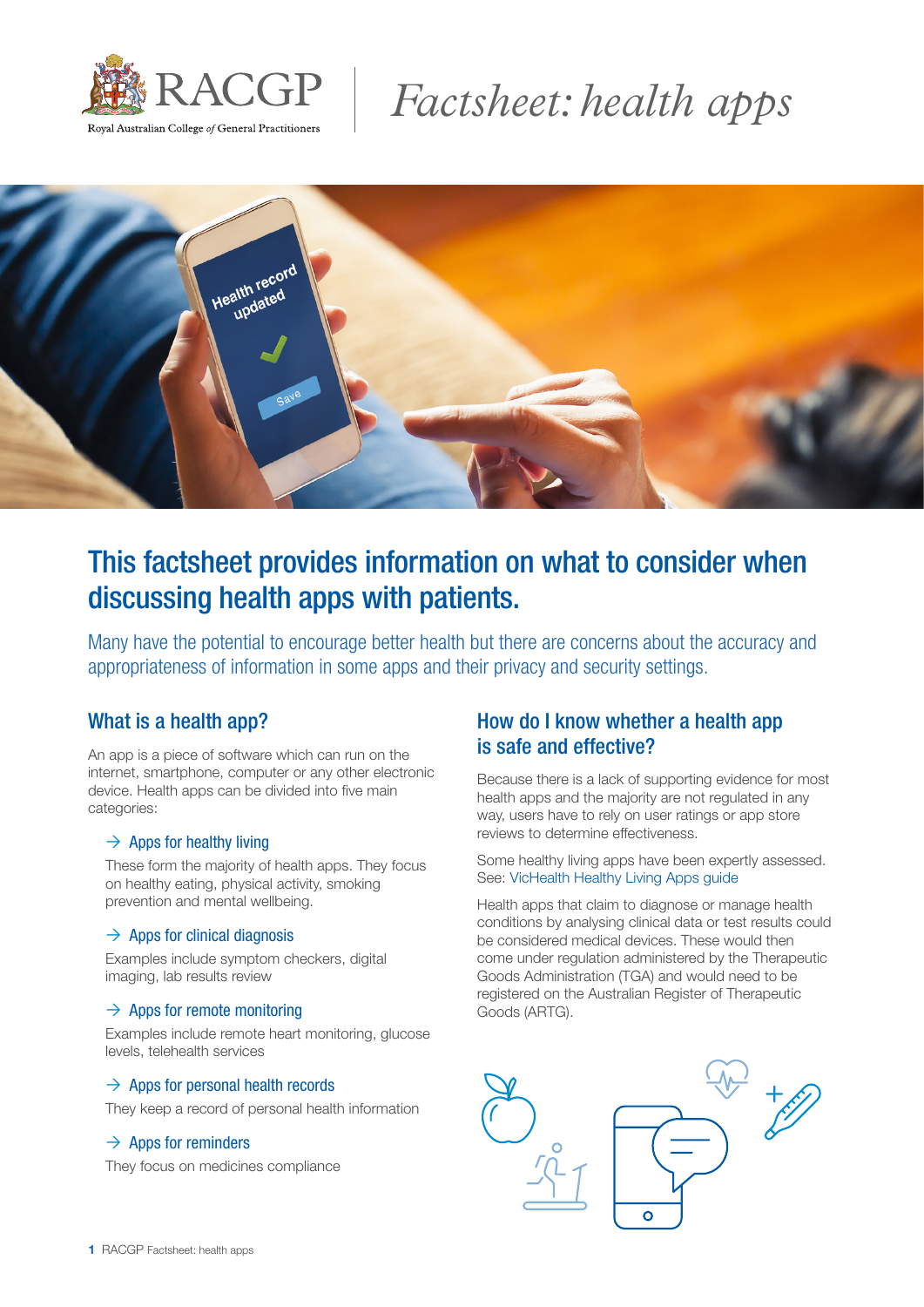

# *Factsheet: health apps*



# This factsheet provides information on what to consider when discussing health apps with patients.

Many have the potential to encourage better health but there are concerns about the accuracy and appropriateness of information in some apps and their privacy and security settings.

### What is a health app?

An app is a piece of software which can run on the internet, smartphone, computer or any other electronic device. Health apps can be divided into five main categories:

#### $\rightarrow$  Apps for healthy living

These form the majority of health apps. They focus on healthy eating, physical activity, smoking prevention and mental wellbeing.

#### $\rightarrow$  Apps for clinical diagnosis

Examples include symptom checkers, digital imaging, lab results review

#### $\rightarrow$  Apps for remote monitoring

Examples include remote heart monitoring, glucose levels, telehealth services

#### $\rightarrow$  Apps for personal health records

They keep a record of personal health information

#### $\rightarrow$  Apps for reminders

They focus on medicines compliance

# How do I know whether a health app is safe and effective?

Because there is a lack of supporting evidence for most health apps and the majority are not regulated in any way, users have to rely on user ratings or app store reviews to determine effectiveness.

Some healthy living apps have been expertly assessed. See: [VicHealth Healthy Living Apps guide](https://www.vichealth.vic.gov.au/media-and-resources/vichealth-apps/healthy-living-apps?q=#searchcontent)

Health apps that claim to diagnose or manage health conditions by analysing clinical data or test results could be considered medical devices. These would then come under regulation administered by the Therapeutic Goods Administration (TGA) and would need to be registered on the Australian Register of Therapeutic Goods (ARTG).

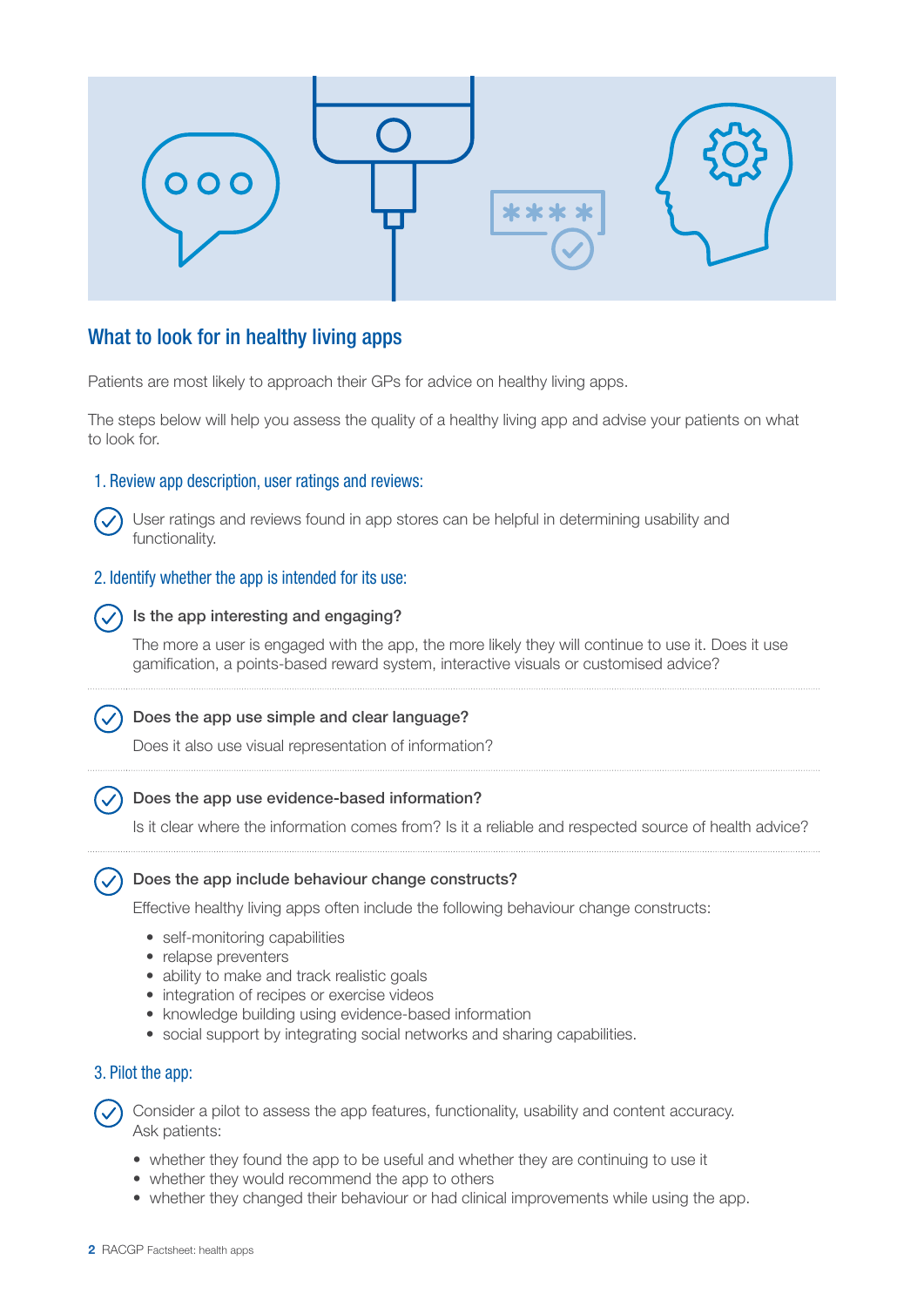

## What to look for in healthy living apps

Patients are most likely to approach their GPs for advice on healthy living apps.

The steps below will help you assess the quality of a healthy living app and advise your patients on what to look for.

#### 1. Review app description, user ratings and reviews:

User ratings and reviews found in app stores can be helpful in determining usability and functionality.

#### 2. Identify whether the app is intended for its use:

#### Is the app interesting and engaging?

The more a user is engaged with the app, the more likely they will continue to use it. Does it use gamification, a points-based reward system, interactive visuals or customised advice?

#### Does the app use simple and clear language?

Does it also use visual representation of information?

#### Does the app use evidence-based information?

Is it clear where the information comes from? Is it a reliable and respected source of health advice?

#### Does the app include behaviour change constructs?

Effective healthy living apps often include the following behaviour change constructs:

- self-monitoring capabilities
- relapse preventers
- ability to make and track realistic goals
- integration of recipes or exercise videos
- knowledge building using evidence-based information
- social support by integrating social networks and sharing capabilities.

#### 3. Pilot the app:

Consider a pilot to assess the app features, functionality, usability and content accuracy. Ask patients:

- whether they found the app to be useful and whether they are continuing to use it
- whether they would recommend the app to others
- whether they changed their behaviour or had clinical improvements while using the app.